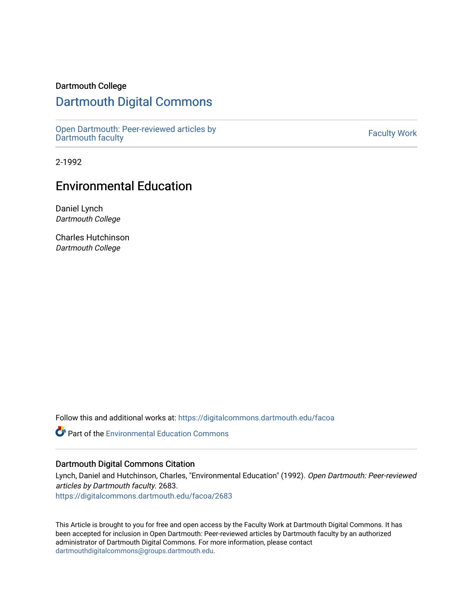## Dartmouth College

# [Dartmouth Digital Commons](https://digitalcommons.dartmouth.edu/)

[Open Dartmouth: Peer-reviewed articles by](https://digitalcommons.dartmouth.edu/facoa)  Open Dartmouth Feel-Teviewed articles by<br>[Dartmouth faculty](https://digitalcommons.dartmouth.edu/facoa)

2-1992

# Environmental Education

Daniel Lynch Dartmouth College

Charles Hutchinson Dartmouth College

Follow this and additional works at: [https://digitalcommons.dartmouth.edu/facoa](https://digitalcommons.dartmouth.edu/facoa?utm_source=digitalcommons.dartmouth.edu%2Ffacoa%2F2683&utm_medium=PDF&utm_campaign=PDFCoverPages)

**C** Part of the [Environmental Education Commons](http://network.bepress.com/hgg/discipline/1305?utm_source=digitalcommons.dartmouth.edu%2Ffacoa%2F2683&utm_medium=PDF&utm_campaign=PDFCoverPages)

## Dartmouth Digital Commons Citation

Lynch, Daniel and Hutchinson, Charles, "Environmental Education" (1992). Open Dartmouth: Peer-reviewed articles by Dartmouth faculty. 2683. [https://digitalcommons.dartmouth.edu/facoa/2683](https://digitalcommons.dartmouth.edu/facoa/2683?utm_source=digitalcommons.dartmouth.edu%2Ffacoa%2F2683&utm_medium=PDF&utm_campaign=PDFCoverPages) 

This Article is brought to you for free and open access by the Faculty Work at Dartmouth Digital Commons. It has been accepted for inclusion in Open Dartmouth: Peer-reviewed articles by Dartmouth faculty by an authorized administrator of Dartmouth Digital Commons. For more information, please contact [dartmouthdigitalcommons@groups.dartmouth.edu](mailto:dartmouthdigitalcommons@groups.dartmouth.edu).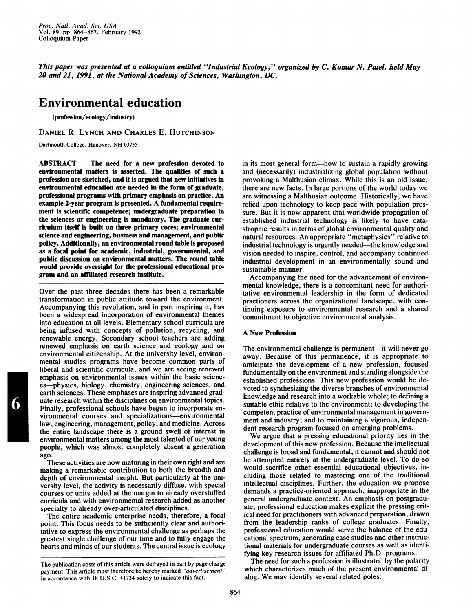This paper was presented at a colloquium entitled "Industrial Ecology," organized by C. Kumar N. Patel, held May 20 and 21, 1991, at the National Academy of Sciences, Washington, DC.

# Environmental education

(profession/ecology/industry)

DANIEL R. LYNCH AND CHARLES E. HUTCHINSON

Dartmouth College, Hanover, NH <sup>03755</sup>

ABSTRACT The need for <sup>a</sup> new profession devoted to environmental matters is asserted. The qualities of such a profession are sketched, and it is argued that new initiatives in environmental education are needed in the form of graduate, professional programs with primary emphasis on practice. An example 2-year program is presented. A fundamental requirement is scientific competence; undergraduate preparation in the sciences or engineering is mandatory. The graduate curriculum itself is built on three primary cores: environmental science and engineering, business and management, and public policy. Additionally, an environmental round table is proposed as a focal point for academic, industrial, governmental, and public discussion on environmental matters. The round table would provide oversight for the professional educational program and an affiliated research institute.

Over the past three decades there has been a remarkable transformation in public attitude toward the environment. Accompanying this revolution, and in part inspiring it, has been a widespread incorporation of environmental themes into education at all levels. Elementary school curricula are being infused with concepts of pollution, recycling, and renewable energy. Secondary school teachers are adding renewed emphasis on earth science and ecology and on environmental citizenship. At the university level, environmental studies programs have become common parts of liberal and scientific curricula, and we are seeing renewed emphasis on environmental issues within the basic sciences—physics, biology, chemistry, engineering sciences, and earth sciences. These emphases are inspiring advanced graduate research within the disciplines on environmental topics. Finally, professional schools have begun to incorporate environmental courses and specializations-environmental law, engineering, management, policy, and medicine. Across the entire landscape there is a ground swell of interest in environmental matters among the most talented of our young people, which was almost completely absent a generation ago.

These activities are now maturing in their own right and are making a remarkable contribution to both the breadth and depth of environmental insight. But particularly at the university level, the activity is necessarily diffuse, with special courses or units added at the margin to already overstuffed curricula and with environmental research added as another specialty to already over-articulated disciplines.

The entire academic enterprise needs, therefore, a focal point. This focus needs to be sufficiently clear and authoritative to express the environmental challenge as perhaps the greatest single challenge of our time and to fully engage the hearts and minds of our students. The central issue is ecology

in its most general form-how to sustain a rapidly growing and (necessarily) industrializing global population without provoking a Malthusian climax. While this is an old issue, there are new facts. In large portions of the world today we are witnessing a Malthusian outcome. Historically, we have relied upon technology to keep pace with population pressure. But it is now apparent that worldwide propagation of established industrial technology is likely to have catastrophic results in terms of global environmental quality and natural resources. An appropriate "metaphysics" relative to industrial technology is urgently needed—the knowledge and vision needed to inspire, control, and accompany continued industrial development in an environmentally sound and sustainable manner.

Accompanying the need for the advancement of environmental knowledge, there is a concomitant need for authoritative environmental leadership in the form of dedicated practioners across the organizational landscape, with continuing exposure to environmental research and a shared commitment to objective environmental analysis.

#### A New Profession

The environmental challenge is permanent-it will never go away. Because of this permanence, it is appropriate to anticipate the development of a new profession, focused fundamentally on the environment and standing alongside the established professions. This new profession would be devoted to synthesizing the diverse branches of environmental knowledge and research into a workable whole; to defining a suitable ethic relative to the environment; to developing the competent practice of environmental management in government and industry; and to maintaining a vigorous, independent research program focused on emerging problems.

We argue that <sup>a</sup> pressing educational priority lies in the development of this new profession. Because the intellectual challenge is broad and fundamental, it cannot and should not be attempted entirely at the undergraduate level. To do so would sacrifice other essential educational objectives, including those related to mastering one of the traditional intellectual disciplines. Further, the education we propose demands a practice-oriented approach, inappropriate in the general undergraduate context. An emphasis on postgraduate, professional education makes explicit the pressing critical need for practitioners with advanced preparation, drawn from the leadership ranks of college graduates. Finally, professional education would serve the balance of the educational spectrum, generating case studies and other instructional materials for undergraduate courses as well as identifying key research issues for affiliated Ph.D. programs.

The need for such a profession is illustrated by the polarity which characterizes much of the present environmental dialog. We may identify several related poles:

The publication costs of this article were defrayed in part by page charge payment. This article must therefore be hereby marked "advertisement" in accordance with 18 U.S.C. §1734 solely to indicate this fact.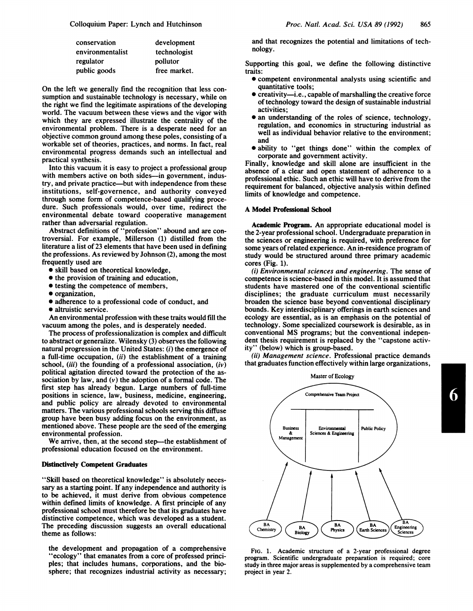| conservation     | development  |
|------------------|--------------|
| environmentalist | technologist |
| regulator        | pollutor     |
| public goods     | free market. |

On the left we generally find the recognition that less consumption and sustainable technology is necessary, while on the right we find the legitimate aspirations of the developing world. The vacuum between these views and the vigor with which they are expressed illustrate the centrality of the environmental problem. There is a desperate need for an objective common ground among these poles, consisting of a workable set of theories, practices, and norms. In fact, real environmental progress demands such an intellectual and practical synthesis.

Into this vacuum it is easy to project a professional group with members active on both sides-in government, industry, and private practice-but with independence from these institutions, self-governence, and authority conveyed through some form of competence-based qualifying procedure. Such professionals would, over time, redirect the environmental debate toward cooperative management rather than adversarial regulation.

Abstract definitions of "profession" abound and are controversial. For example, Millerson (1) distilled from the literature a list of 23 elements that have been used in defining the professions. As reviewed by Johnson (2), among the most frequently used are

- skill based on theoretical knowledge,
- $\bullet$  the provision of training and education,
- testing the competence of members,
- organization,
- $\bullet$  adherence to a professional code of conduct, and
- altruistic service.

An environmental profession with these traits would fill the vacuum among the poles, and is desperately needed.

The process of professionalization is complex and difficult to abstract or generalize. Wilensky (3) observes the following natural progression in the United States: (i) the emergence of a full-time occupation,  $(ii)$  the establishment of a training school,  $(iii)$  the founding of a professional association,  $(iv)$ political agitation directed toward the protection of the association by law, and  $(v)$  the adoption of a formal code. The first step has already begun. Large numbers of full-time positions in science, law, business, medicine, engineering, and public policy are already devoted to environmental matters. The various professional schools serving this diffuse group have been busy adding focus on the environment, as mentioned above. These people are the seed of the emerging environmental profession.

We arrive, then, at the second step-the establishment of professional education focused on the environment.

#### Distinctively Competent Graduates

"Skill based on theoretical knowledge" is absolutely necessary as a starting point. If any independence and authority is to be achieved, it must derive from obvious competence within defined limits of knowledge. A first principle of any professional school must therefore be that its graduates have distinctive competence, which was developed as a student. The preceding discussion suggests an overall educational theme as follows:

the development and propagation of a comprehensive "ecology" that emanates from a core of professed principles; that includes humans, corporations, and the biosphere; that recognizes industrial activity as necessary; and that recognizes the potential and limitations of technology.

Supporting this goal, we define the following distinctive traits:

- competent environmental analysts using scientific and quantitative tools;
- $\bullet$  creativity—i.e., capable of marshalling the creative force of technology toward the design of sustainable industrial activities;
- an understanding of the roles of science, technology, regulation, and economics in structuring industrial as well as individual behavior relative to the environment; and
- ability to "get things done" within the complex of corporate and government activity.

Finally, knowledge and skill alone are insufficient in the absence of a clear and open statement of adherence to a professional ethic. Such an ethic will have to derive from the requirement for balanced, objective analysis within defined limits of knowledge and competence.

#### A Model Professional School

Academic Program. An appropriate educational model is the 2-year professional school. Undergraduate preparation in the sciences or engineering is required, with preference for some years of related experience. An in-residence program of study would be structured around three primary academic cores (Fig. 1).

(i) Environmental sciences and engineering. The sense of competence is science-based in this model. It is assumed that students have mastered one of the conventional scientific disciplines; the graduate curriculum must necessarily broaden the science base beyond conventional disciplinary bounds. Key interdisciplinary offerings in earth sciences and ecology are essential, as is an emphasis on the potential of technology. Some specialized coursework is desirable, as in conventional MS programs; but the conventional independent thesis requirement is replaced by the "capstone activity" (below) which is group-based.

(ii) Management science. Professional practice demands that graduates function effectively within large organizations,



FIG. 1. Academic structure of a 2-year professional degree program. Scientific undergraduate preparation is required; core study in three major areas is supplemented by a comprehensive team project in year 2.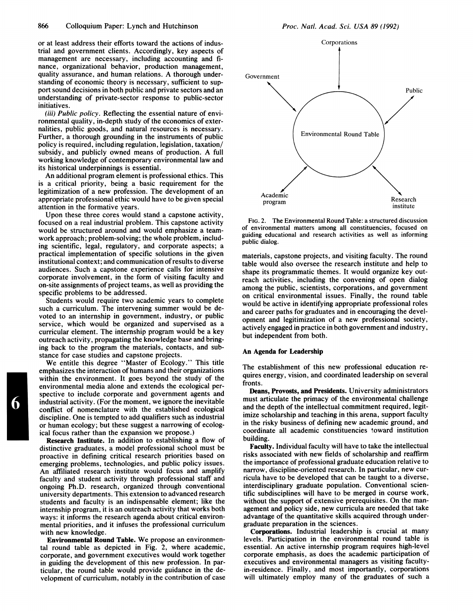or at least address their efforts toward the actions of industrial and government clients. Accordingly, key aspects of management are necessary, including accounting and finance, organizational behavior, production management, quality assurance, and human relations. A thorough understanding of economic theory is necessary, sufficient to support sound decisions in both public and private sectors and an understanding of private-sector response to public-sector initiatives.

(iii) Public policy. Reflecting the essential nature of environmental quality, in-depth study of the economics of externalities, public goods, and natural resources is necessary. Further, a thorough grounding in the instruments of public policy is required, including regulation, legislation, taxation/ subsidy, and publicly owned means of production. A full working knowledge of contemporary environmental law and its historical underpinnings is essential.

An additional program element is professional ethics. This is a critical priority, being a basic requirement for the legitimization of a new profession. The development of an appropriate professional ethic would have to be given special attention in the formative years.

Upon these three cores would stand a capstone activity, focused on a real industrial problem. This capstone activity would be structured around and would emphasize a teamwork approach; problem-solving; the whole problem, including scientific, legal, regulatory, and corporate aspects; a practical implementation of specific solutions in the given institutional context; and communication of results to diverse audiences. Such a capstone experience calls for intensive corporate involvement, in the form of visiting faculty and on-site assignments of project teams, as well as providing the specific problems to be addressed.

Students would require two academic years to complete such a curriculum. The intervening summer would be devoted to an internship in government, industry, or public service, which would be organized and supervised as a curricular element. The internship program would be a key outreach activity, propagating the knowledge base and bringing back to the program the materials, contacts, and substance for case studies and capstone projects.

We entitle this degree "Master of Ecology." This title emphasizes the interaction of humans and their organizations within the environment. It goes beyond the study of the environmental media alone and extends the ecological perspective to include corporate and government agents and industrial activity. (For the moment, we ignore the inevitable conflict of nomenclature with the established ecological discipline. One is tempted to add qualifiers such as industrial or human ecology; but these suggest a narrowing of ecological focus rather than the expansion we propose.)

Research Institute. In addition to establishing a flow of distinctive graduates, a model professional school must be proactive in defining critical research priorities based on emerging problems, technologies, and public policy issues. An affiliated research institute would focus and amplify faculty and student activity through professional staff and ongoing Ph.D. research, organized through conventional university departments. This extension to advanced research students and faculty is an indispensable element; like the internship program, it is an outreach activity that works both ways: it informs the research agenda about critical environmental priorities, and it infuses the professional curriculum with new knowledge.

Environmental Round Table. We propose an environmental round table as depicted in Fig. 2, where academic, corporate, and government executives would work together in guiding the development of this new profession. In particular, the round table would provide guidance in the development of curriculum, notably in the contribution of case



FIG. 2. The Environmental Round Table: a structured discussion of environmental matters among all constituencies, focused on guiding educational and research activities as well as informing public dialog.

materials, capstone projects, and visiting faculty. The round table would also oversee the research institute and help to shape its programmatic themes. It would organize key outreach activities, including the convening of open dialog among the public, scientists, corporations, and government on critical environmental issues. Finally, the round table would be active in identifying appropriate professional roles and career paths for graduates and in encouraging the development and legitimization of <sup>a</sup> new professional society, actively engaged in practice in both government and industry, but independent from both.

#### An Agenda for Leadership

The establishment of this new professional education requires energy, vision, and coordinated leadership on several fronts.

Deans, Provosts, and Presidents. University administrators must articulate the primacy of the environmental challenge and the depth of the intellectual commitment required, legitimize scholarship and teaching in this arena, support faculty in the risky business of defining new academic ground, and coordinate all academic constituencies toward institution building.

Faculty. Individual faculty will have to take the intellectual risks associated with new fields of scholarship and reaffirm the importance of professional graduate education relative to narrow, discipline-oriented research. In particular, new curricula have to be developed that can be taught to a diverse, interdisciplinary graduate population. Conventional scientific subdisciplines will have to be merged in course work, without the support of extensive prerequisites. On the management and policy side, new curricula are needed that take advantage of the quantitative skills acquired through undergraduate preparation in the sciences.

Corporations. Industrial leadership is crucial at many levels. Participation in the environmental round table is essential. An active internship program requires high-level corporate emphasis, as does the academic participation of executives and environmental managers as visiting facultyin-residence. Finally, and most importantly, corporations will ultimately employ many of the graduates of such a